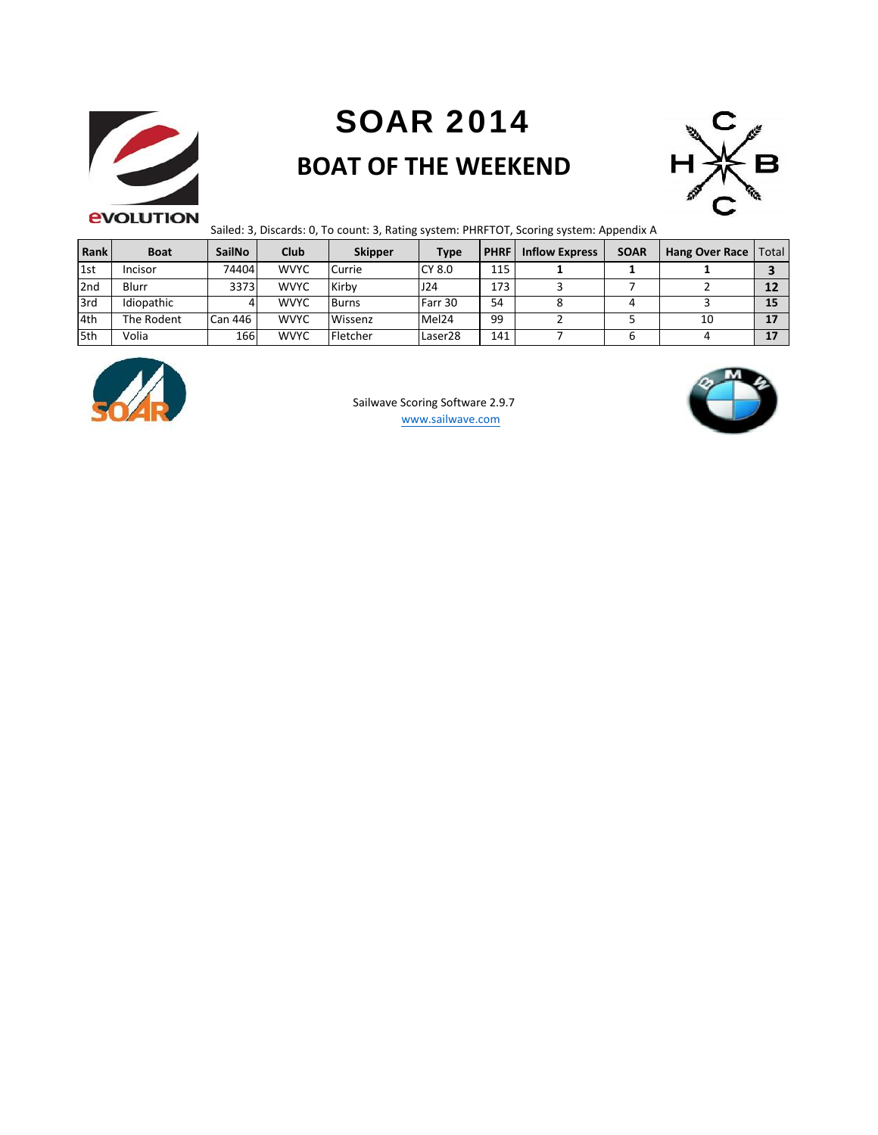

# **SOAR 2014 BOAT OF THE WEEKEND**



Sailed: 3, Discards: 0, To count: 3, Rating system: PHRFTOT, Scoring system: Appendix A

| Rank | <b>Boat</b>    | <b>SailNo</b>  | Club        | <b>Skipper</b> | <b>Type</b>       | <b>PHRF</b> | <b>Inflow Express</b> | <b>SOAR</b> | <b>Hang Over Race</b> | Total |
|------|----------------|----------------|-------------|----------------|-------------------|-------------|-----------------------|-------------|-----------------------|-------|
| 1st  | <b>Incisor</b> | 74404          | <b>WVYC</b> | Currie         | CY 8.0            | 115         |                       |             |                       |       |
| 2nd  | Blurr          | 3373           | <b>WVYC</b> | Kirby          | J24               | 173         |                       |             |                       | 12    |
| 3rd  | Idiopathic     |                | <b>WVYC</b> | <b>Burns</b>   | Farr 30           | 54          |                       |             |                       | 15    |
| 4th  | The Rodent     | <b>Can 446</b> | <b>WVYC</b> | Wissenz        | Mel <sub>24</sub> | 99          |                       |             | 10                    | 17    |
| 5th  | Volia          | 166            | <b>WVYC</b> | Fletcher       | Laser28           | 141         |                       |             |                       | 17    |



www.sailwave.com Sailwave Scoring Software 2.9.7

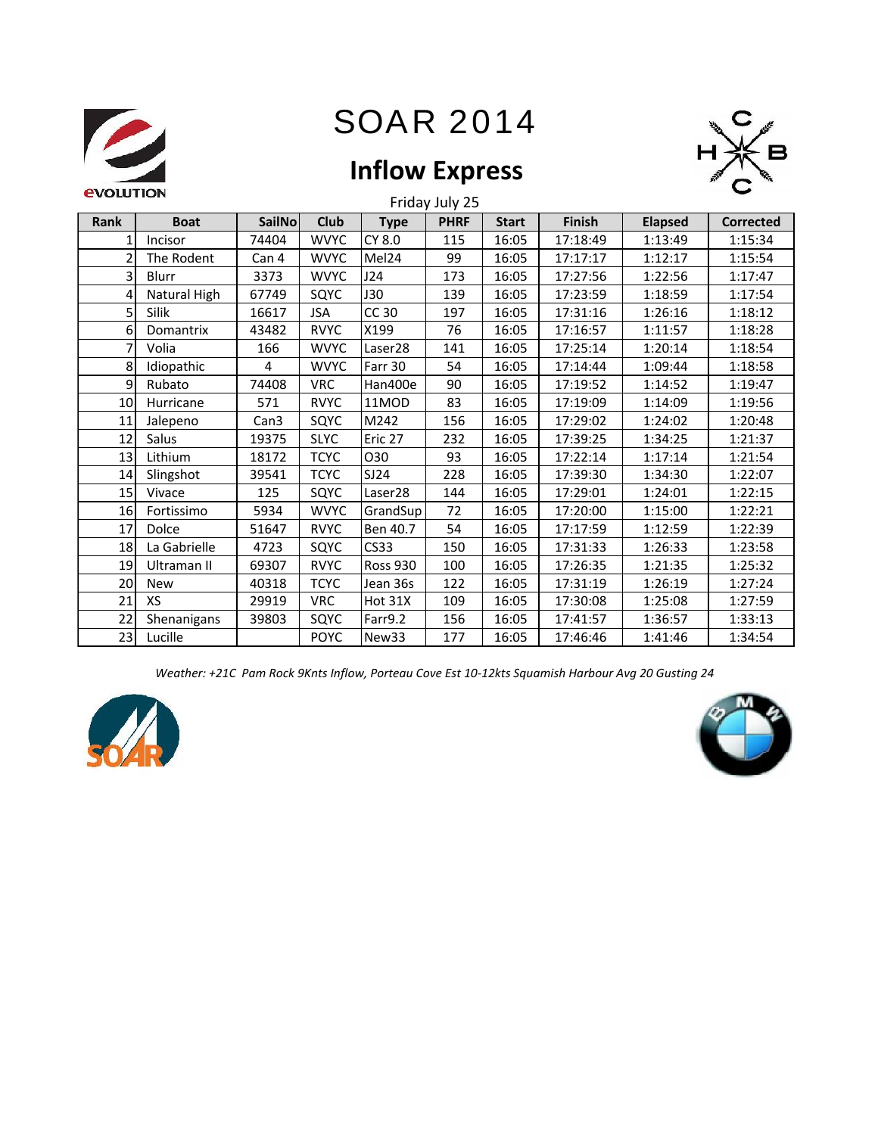



## **Inflow Express**

| Rank         | <b>Boat</b>  | <b>SailNo</b>    | Club        | <b>Type</b>       | Friday July 25<br><b>PHRF</b> | <b>Start</b> | Finish   | <b>Elapsed</b> | <b>Corrected</b> |
|--------------|--------------|------------------|-------------|-------------------|-------------------------------|--------------|----------|----------------|------------------|
| $\mathbf{1}$ | Incisor      | 74404            | <b>WVYC</b> | CY 8.0            | 115                           | 16:05        | 17:18:49 | 1:13:49        | 1:15:34          |
| 2            | The Rodent   | Can 4            | <b>WVYC</b> | Mel24             | 99                            | 16:05        | 17:17:17 | 1:12:17        | 1:15:54          |
|              |              |                  |             |                   |                               |              |          |                |                  |
| 3            | Blurr        | 3373             | <b>WVYC</b> | J24               | 173                           | 16:05        | 17:27:56 | 1:22:56        | 1:17:47          |
| 4            | Natural High | 67749            | SQYC        | <b>J30</b>        | 139                           | 16:05        | 17:23:59 | 1:18:59        | 1:17:54          |
| 5            | Silik        | 16617            | <b>JSA</b>  | CC 30             | 197                           | 16:05        | 17:31:16 | 1:26:16        | 1:18:12          |
| 6            | Domantrix    | 43482            | <b>RVYC</b> | X199              | 76                            | 16:05        | 17:16:57 | 1:11:57        | 1:18:28          |
| 7            | Volia        | 166              | <b>WVYC</b> | Laser28           | 141                           | 16:05        | 17:25:14 | 1:20:14        | 1:18:54          |
| 8            | Idiopathic   | 4                | <b>WVYC</b> | Farr 30           | 54                            | 16:05        | 17:14:44 | 1:09:44        | 1:18:58          |
| 9            | Rubato       | 74408            | <b>VRC</b>  | Han400e           | 90                            | 16:05        | 17:19:52 | 1:14:52        | 1:19:47          |
| 10           | Hurricane    | 571              | <b>RVYC</b> | 11MOD             | 83                            | 16:05        | 17:19:09 | 1:14:09        | 1:19:56          |
| 11           | Jalepeno     | Can <sub>3</sub> | SQYC        | M242              | 156                           | 16:05        | 17:29:02 | 1:24:02        | 1:20:48          |
| 12           | Salus        | 19375            | <b>SLYC</b> | Eric 27           | 232                           | 16:05        | 17:39:25 | 1:34:25        | 1:21:37          |
| 13           | Lithium      | 18172            | <b>TCYC</b> | 030               | 93                            | 16:05        | 17:22:14 | 1:17:14        | 1:21:54          |
| 14           | Slingshot    | 39541            | <b>TCYC</b> | SJ24              | 228                           | 16:05        | 17:39:30 | 1:34:30        | 1:22:07          |
| 15           | Vivace       | 125              | SQYC        | Laser28           | 144                           | 16:05        | 17:29:01 | 1:24:01        | 1:22:15          |
| 16           | Fortissimo   | 5934             | <b>WVYC</b> | GrandSup          | 72                            | 16:05        | 17:20:00 | 1:15:00        | 1:22:21          |
| 17           | Dolce        | 51647            | <b>RVYC</b> | Ben 40.7          | 54                            | 16:05        | 17:17:59 | 1:12:59        | 1:22:39          |
| 18           | La Gabrielle | 4723             | SQYC        | <b>CS33</b>       | 150                           | 16:05        | 17:31:33 | 1:26:33        | 1:23:58          |
| 19           | Ultraman II  | 69307            | <b>RVYC</b> | <b>Ross 930</b>   | 100                           | 16:05        | 17:26:35 | 1:21:35        | 1:25:32          |
| 20           | <b>New</b>   | 40318            | <b>TCYC</b> | Jean 36s          | 122                           | 16:05        | 17:31:19 | 1:26:19        | 1:27:24          |
| 21           | XS           | 29919            | <b>VRC</b>  | Hot 31X           | 109                           | 16:05        | 17:30:08 | 1:25:08        | 1:27:59          |
| 22           | Shenanigans  | 39803            | SQYC        | Farr9.2           | 156                           | 16:05        | 17:41:57 | 1:36:57        | 1:33:13          |
| 23           | Lucille      |                  | <b>POYC</b> | New <sub>33</sub> | 177                           | 16:05        | 17:46:46 | 1:41:46        | 1:34:54          |

Weather: +21C Pam Rock 9Knts Inflow, Porteau Cove Est 10-12kts Squamish Harbour Avg 20 Gusting 24



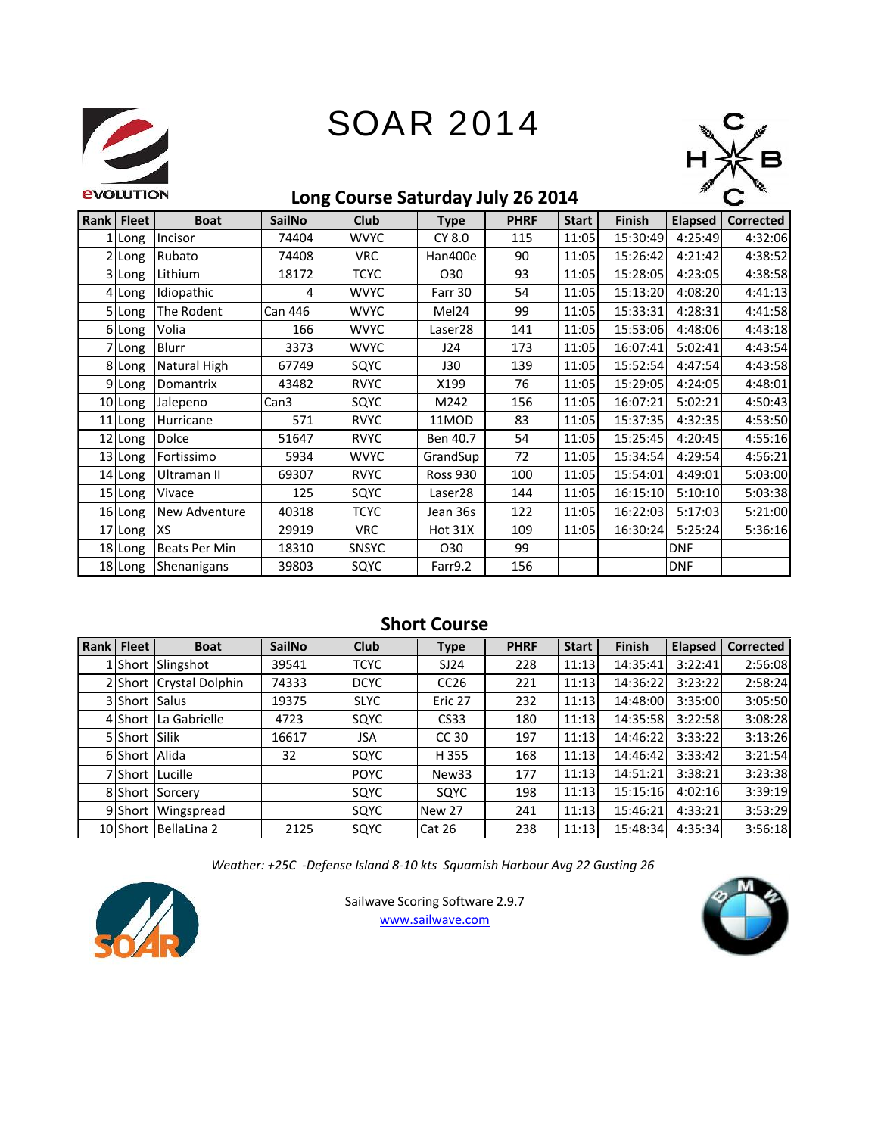



### **Long Course Saturday July 26 2014**

| Rank | <b>Fleet</b> | <b>Boat</b>   | <b>SailNo</b>    | <b>Club</b>  | <b>Type</b>         | <b>PHRF</b> | <b>Start</b> | <b>Finish</b> | <b>Elapsed</b> | <b>Corrected</b> |
|------|--------------|---------------|------------------|--------------|---------------------|-------------|--------------|---------------|----------------|------------------|
|      | . Long       | Incisor       | 74404            | <b>WVYC</b>  | CY 8.0              | 115         | 11:05        | 15:30:49      | 4:25:49        | 4:32:06          |
|      | 2 Long       | Rubato        | 74408            | <b>VRC</b>   | Han400e             | 90          | 11:05        | 15:26:42      | 4:21:42        | 4:38:52          |
|      | 3 Long       | Lithium       | 18172            | <b>TCYC</b>  | O <sub>30</sub>     | 93          | 11:05        | 15:28:05      | 4:23:05        | 4:38:58          |
|      | 4 Long       | Idiopathic    | 4                | <b>WVYC</b>  | Farr 30             | 54          | 11:05        | 15:13:20      | 4:08:20        | 4:41:13          |
|      | 5 Long       | The Rodent    | <b>Can 446</b>   | <b>WVYC</b>  | Mel <sub>24</sub>   | 99          | 11:05        | 15:33:31      | 4:28:31        | 4:41:58          |
|      | 6 Long       | Volia         | 166              | <b>WVYC</b>  | Laser <sub>28</sub> | 141         | 11:05        | 15:53:06      | 4:48:06        | 4:43:18          |
|      | 7 Long       | Blurr         | 3373             | <b>WVYC</b>  | J24                 | 173         | 11:05        | 16:07:41      | 5:02:41        | 4:43:54          |
|      | 8 Long       | Natural High  | 67749            | SQYC         | <b>J30</b>          | 139         | 11:05        | 15:52:54      | 4:47:54        | 4:43:58          |
|      | 9 Long       | Domantrix     | 43482            | <b>RVYC</b>  | X199                | 76          | 11:05        | 15:29:05      | 4:24:05        | 4:48:01          |
|      | 10 Long      | Jalepeno      | Can <sub>3</sub> | SQYC         | M242                | 156         | 11:05        | 16:07:21      | 5:02:21        | 4:50:43          |
|      | 11 Long      | Hurricane     | 571              | <b>RVYC</b>  | 11MOD               | 83          | 11:05        | 15:37:35      | 4:32:35        | 4:53:50          |
|      | 12 Long      | Dolce         | 51647            | <b>RVYC</b>  | Ben 40.7            | 54          | 11:05        | 15:25:45      | 4:20:45        | 4:55:16          |
|      | 13 Long      | Fortissimo    | 5934             | <b>WVYC</b>  | GrandSup            | 72          | 11:05        | 15:34:54      | 4:29:54        | 4:56:21          |
|      | 14 Long      | Ultraman II   | 69307            | <b>RVYC</b>  | <b>Ross 930</b>     | 100         | 11:05        | 15:54:01      | 4:49:01        | 5:03:00          |
|      | 15 Long      | Vivace        | 125              | SQYC         | Laser28             | 144         | 11:05        | 16:15:10      | 5:10:10        | 5:03:38          |
|      | 16 Long      | New Adventure | 40318            | <b>TCYC</b>  | Jean 36s            | 122         | 11:05        | 16:22:03      | 5:17:03        | 5:21:00          |
|      | 17 Long      | <b>XS</b>     | 29919            | <b>VRC</b>   | Hot 31X             | 109         | 11:05        | 16:30:24      | 5:25:24        | 5:36:16          |
|      | 18 Long      | Beats Per Min | 18310            | <b>SNSYC</b> | O <sub>30</sub>     | 99          |              |               | <b>DNF</b>     |                  |
|      | 18 Long      | Shenanigans   | 39803            | SQYC         | Farr9.2             | 156         |              |               | <b>DNF</b>     |                  |

### **Short Course**

| Rank | <b>Fleet</b>  | <b>Boat</b>             | <b>SailNo</b> | <b>Club</b> | <b>Type</b>       | <b>PHRF</b> | <b>Start</b> | <b>Finish</b> | <b>Elapsed</b> | <b>Corrected</b> |
|------|---------------|-------------------------|---------------|-------------|-------------------|-------------|--------------|---------------|----------------|------------------|
|      |               | 1 Short Slingshot       | 39541         | <b>TCYC</b> | SJ24              | 228         | 11:13        | 14:35:41      | 3:22:41        | 2:56:08          |
|      |               | 2 Short Crystal Dolphin | 74333         | <b>DCYC</b> | CC26              | 221         | 11:13        | 14:36:22      | 3:23:22        | 2:58:24          |
|      | 3 Short Salus |                         | 19375         | <b>SLYC</b> | Eric 27           | 232         | 11:13        | 14:48:00      | 3:35:00        | 3:05:50          |
|      | 4 Short       | La Gabrielle            | 4723          | SQYC        | <b>CS33</b>       | 180         | 11:13        | 14:35:58      | 3:22:58        | 3:08:28          |
|      | 5 Short Silik |                         | 16617         | <b>JSA</b>  | CC 30             | 197         | 11:13        | 14:46:22      | 3:33:22        | 3:13:26          |
|      | 6 Short Alida |                         | 32            | SQYC        | H 355             | 168         | 11:13        | 14:46:42      | 3:33:42        | 3:21:54          |
|      |               | 7 Short Lucille         |               | <b>POYC</b> | New <sub>33</sub> | 177         | 11:13        | 14:51:21      | 3:38:21        | 3:23:38          |
|      |               | 8 Short Sorcery         |               | SQYC        | SQYC              | 198         | 11:13        | 15:15:16      | 4:02:16        | 3:39:19          |
|      |               | 9 Short Wingspread      |               | SQYC        | New 27            | 241         | 11:13        | 15:46:21      | 4:33:21        | 3:53:29          |
|      | 10 Short      | BellaLina 2             | 2125          | SQYC        | <b>Cat 26</b>     | 238         | 11:13        | 15:48:34      | 4:35:34        | 3:56:18          |

*Weather: +25C -Defense Island 8-10 kts Squamish Harbour Avg 22 Gusting 26*



Sailwave Scoring Software 2.9.7 www.sailwave.com

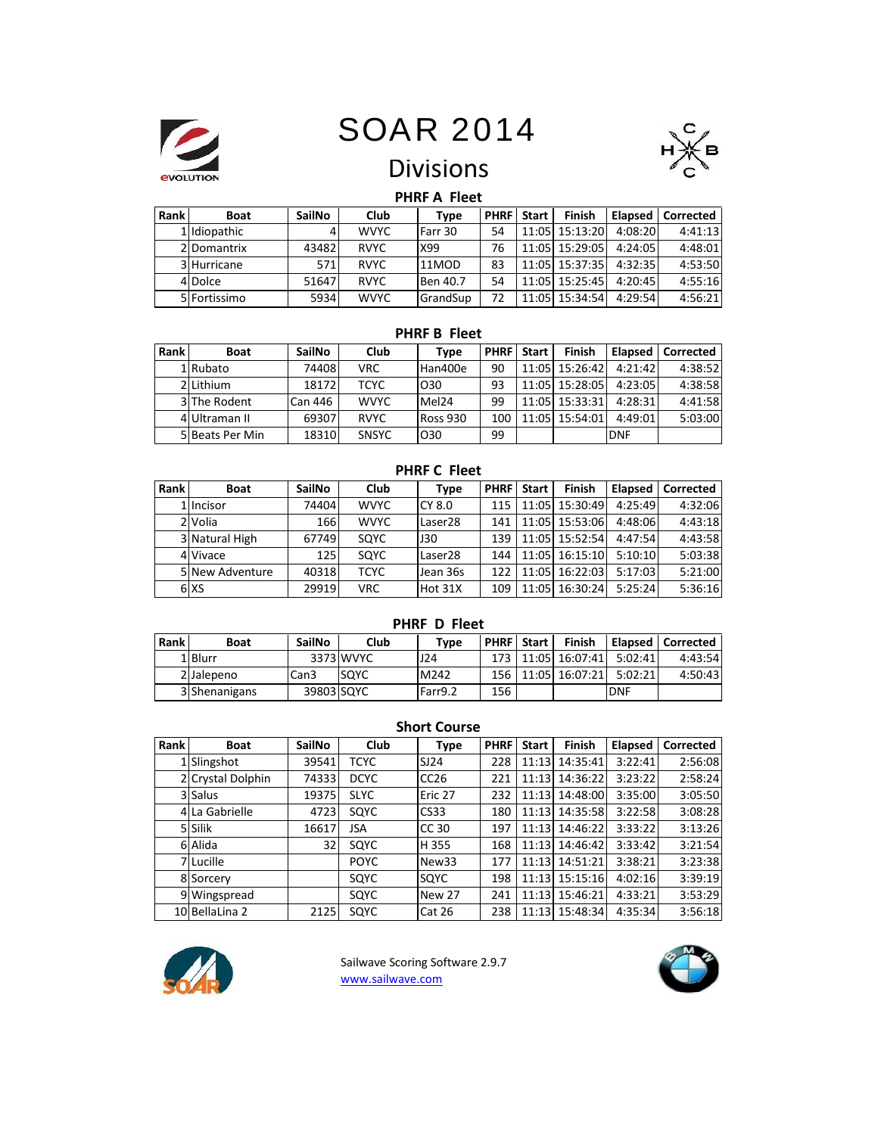



## Divisions

### **PHRF A Fleet**

| Rank | <b>Boat</b>   | <b>SailNo</b> | Club        | Type     |    | <b>PHRF</b> Start | Finish                 | Elapsed | Corrected |
|------|---------------|---------------|-------------|----------|----|-------------------|------------------------|---------|-----------|
|      | 1 Ildiopathic |               | <b>WVYC</b> | Farr 30  | 54 |                   | 11:05 15:13:20         | 4:08:20 | 4:41:13   |
|      | 2 Domantrix   | 43482         | <b>RVYC</b> | X99      | 76 |                   | 11:05 15:29:05         | 4:24:05 | 4:48:01   |
|      | 3 Hurricane   | 571           | <b>RVYC</b> | 11MOD    | 83 |                   | 11:05 15:37:35 4:32:35 |         | 4:53:50   |
|      | 4 Dolce       | 51647         | <b>RVYC</b> | Ben 40.7 | 54 |                   | 11:05 15:25:45         | 4:20:45 | 4:55:16   |
|      | 5 Fortissimo  | 5934          | <b>WVYC</b> | GrandSup | 72 |                   | $11:05$ 15:34:54       | 4:29:54 | 4:56:21   |

#### **PHRF B Fleet**

| Rank | <b>Boat</b>     | <b>SailNo</b> | Club         | Type              |     | <b>PHRF</b> Start | Finish         | <b>Elapsed</b> | Corrected |
|------|-----------------|---------------|--------------|-------------------|-----|-------------------|----------------|----------------|-----------|
|      | 1 Rubato        | 74408         | VRC.         | Han400e           | 90  |                   | 11:05 15:26:42 | 4:21:42        | 4:38:52   |
|      | 2 Lithium       | 18172         | TCYC         | O <sub>30</sub>   | 93  |                   | 11:05 15:28:05 | 4:23:05        | 4:38:58   |
|      | 3 The Rodent    | Can 446       | <b>WVYC</b>  | Mel <sub>24</sub> | 99  |                   | 11:05 15:33:31 | 4:28:31        | 4:41:58   |
|      | 4 Ultraman II   | 69307         | <b>RVYC</b>  | <b>Ross 930</b>   | 100 |                   | 11:05 15:54:01 | 4:49:01        | 5:03:00   |
|      | 5 Beats Per Min | 18310         | <b>SNSYC</b> | O <sub>30</sub>   | 99  |                   |                | <b>DNF</b>     |           |

#### **PHRF C Fleet**

| Rank | <b>Boat</b>     | <b>SailNo</b> | Club        | Type                | <b>PHRF</b> | <b>Start</b> | <b>Finish</b>  | Elapsed | Corrected |
|------|-----------------|---------------|-------------|---------------------|-------------|--------------|----------------|---------|-----------|
|      | 1 Incisor       | 74404         | <b>WVYC</b> | CY 8.0              | 115         |              | 11:05 15:30:49 | 4:25:49 | 4:32:06   |
|      | 2 Volia         | 166           | <b>WVYC</b> | Laser28             | 141         |              | 11:05 15:53:06 | 4:48:06 | 4:43:18   |
|      | 3 Natural High  | 67749         | SQYC        | J30                 | 139         |              | 11:05 15:52:54 | 4:47:54 | 4:43:58   |
|      | 4 Vivace        | 125           | SQYC        | Laser <sub>28</sub> | 144         |              | 11:05 16:15:10 | 5:10:10 | 5:03:38   |
|      | 5 New Adventure | 40318         | <b>TCYC</b> | Jean 36s            | 122         |              | 11:05 16:22:03 | 5:17:03 | 5:21:00   |
|      | 6 XS            | 29919         | <b>VRC</b>  | Hot 31X             | 109         |              | 11:05 16:30:24 | 5:25:24 | 5:36:16   |

### **PHRF D Fleet**

| Rank | <b>Boat</b>   | <b>SailNo</b>    | Club        | Type    |     | <b>PHRF</b> Start | <b>Finish</b>          | Le Elapsed L | Corrected |
|------|---------------|------------------|-------------|---------|-----|-------------------|------------------------|--------------|-----------|
|      | 1 Blurr       |                  | 3373 WVYC   | 124     |     |                   | 173 11:05 16:07:41     | 5:02:41      | 4:43:54   |
|      | 2 Jalepeno    | Can <sub>3</sub> | <b>SOYC</b> | M242    |     |                   | 156   11:05   16:07:21 | 5:02:21      | 4:50:43   |
|      | 3 Shenanigans | 39803 SQYC       |             | Farr9.2 | 156 |                   |                        | <b>DNF</b>   |           |

#### **Short Course**

| Rank | <b>Boat</b>       | SailNo | Club        | Type              | <b>PHRF</b> | <b>Start</b> | <b>Finish</b> | Elapsed | Corrected |
|------|-------------------|--------|-------------|-------------------|-------------|--------------|---------------|---------|-----------|
|      | 1 Slingshot       | 39541  | <b>TCYC</b> | SI24              | 228         | 11:13        | 14:35:41      | 3:22:41 | 2:56:08   |
|      | 2 Crystal Dolphin | 74333  | <b>DCYC</b> | CC26              | 221         | 11:13        | 14:36:22      | 3:23:22 | 2:58:24   |
|      | 3 Salus           | 19375  | <b>SLYC</b> | Eric 27           | 232         | 11:13        | 14:48:00      | 3:35:00 | 3:05:50   |
|      | 4 La Gabrielle    | 4723   | SQYC        | CS33              | 180         | 11:13        | 14:35:58      | 3:22:58 | 3:08:28   |
|      | 5 Silik           | 16617  | JSA         | CC 30             | 197         | 11:13        | 14:46:22      | 3:33:22 | 3:13:26   |
|      | 6 Alida           | 32     | SQYC        | H 355             | 168         | 11:13        | 14:46:42      | 3:33:42 | 3:21:54   |
|      | 7 Lucille         |        | <b>POYC</b> | New <sub>33</sub> | 177         | 11:13        | 14:51:21      | 3:38:21 | 3:23:38   |
|      | 8 Sorcery         |        | SQYC        | SOYC              | 198         | 11:13        | 15:15:16      | 4:02:16 | 3:39:19   |
|      | 9 Wingspread      |        | SQYC        | New 27            | 241         | 11:13        | 15:46:21      | 4:33:21 | 3:53:29   |
|      | 10 BellaLina 2    | 2125   | SQYC        | Cat 26            | 238         | 11:13        | 15:48:34      | 4:35:34 | 3:56:18   |



Sailwave Scoring Software 2.9.7 www.sailwave.com